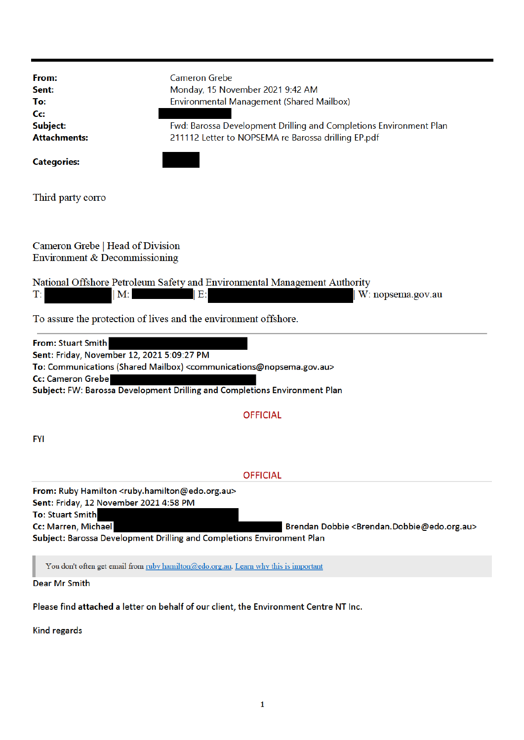| From:<br>Sent:<br>To:<br>Cc:<br>Subject:<br><b>Attachments:</b><br><b>Categories:</b>                                                                                                                                                                                                                                          | <b>Cameron Grebe</b><br>Monday, 15 November 2021 9:42 AM<br>Environmental Management (Shared Mailbox)<br>Fwd: Barossa Development Drilling and Completions Environment Plan<br>211112 Letter to NOPSEMA re Barossa drilling EP.pdf |
|--------------------------------------------------------------------------------------------------------------------------------------------------------------------------------------------------------------------------------------------------------------------------------------------------------------------------------|------------------------------------------------------------------------------------------------------------------------------------------------------------------------------------------------------------------------------------|
| Third party corro                                                                                                                                                                                                                                                                                                              |                                                                                                                                                                                                                                    |
| Cameron Grebe   Head of Division<br>Environment & Decommissioning<br>National Offshore Petroleum Safety and Environmental Management Authority<br>T.<br>M:<br>  E:l<br>W: nopsema.gov.au<br>To assure the protection of lives and the environment offshore.                                                                    |                                                                                                                                                                                                                                    |
| <b>From: Stuart Smith</b><br>Sent: Friday, November 12, 2021 5:09:27 PM<br>To: Communications (Shared Mailbox) <communications@nopsema.gov.au><br/><b>Cc: Cameron Grebe</b><br/>Subject: FW: Barossa Development Drilling and Completions Environment Plan</communications@nopsema.gov.au>                                     |                                                                                                                                                                                                                                    |
|                                                                                                                                                                                                                                                                                                                                | <b>OFFICIAL</b>                                                                                                                                                                                                                    |
| <b>FYI</b>                                                                                                                                                                                                                                                                                                                     |                                                                                                                                                                                                                                    |
|                                                                                                                                                                                                                                                                                                                                | <b>OFFICIAL</b>                                                                                                                                                                                                                    |
| From: Ruby Hamilton <ruby.hamilton@edo.org.au><br/>Sent: Friday, 12 November 2021 4:58 PM<br/><b>To: Stuart Smith</b><br/>Cc: Marren, Michael<br/>Brendan Dobbie <brendan.dobbie@edo.org.au><br/>Subject: Barossa Development Drilling and Completions Environment Plan</brendan.dobbie@edo.org.au></ruby.hamilton@edo.org.au> |                                                                                                                                                                                                                                    |
| You don't often get email from ruby hamilton@edo.org.au. Learn why this is important                                                                                                                                                                                                                                           |                                                                                                                                                                                                                                    |
| Dear Mr Smith                                                                                                                                                                                                                                                                                                                  |                                                                                                                                                                                                                                    |
| Please find attached a letter on behalf of our client, the Environment Centre NT Inc.                                                                                                                                                                                                                                          |                                                                                                                                                                                                                                    |

**Kind regards**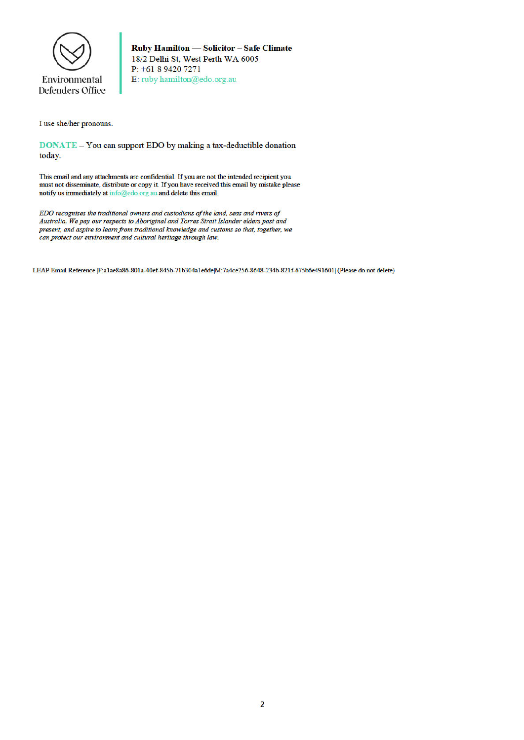

Ruby Hamilton - Solicitor - Safe Climate 18/2 Delhi St, West Perth WA 6005 P: +61 8 9420 7271 E: ruby hamilton@edo.org.au

I use she/her pronouns.

**DONATE** – You can support EDO by making a tax-deductible donation today.

This email and any attachments are confidential. If you are not the intended recipient you must not disseminate, distribute or copy it. If you have received this email by mistake please notify us immediately at info@edo.org.au and delete this email.

EDO recognises the traditional owners and custodians of the land, seas and rivers of Australia. We pay our respects to Aboriginal and Torres Strait Islander elders past and present, and aspire to learn from traditional knowledge and customs so that, together, we can protect our environment and cultural heritage through law.

LEAP Email Reference |F:a1ae8a86-801a-40ef-845b-71b304a1e6de|M:7a4ce256-8648-234b-821f-675b6e491601| (Please do not delete)